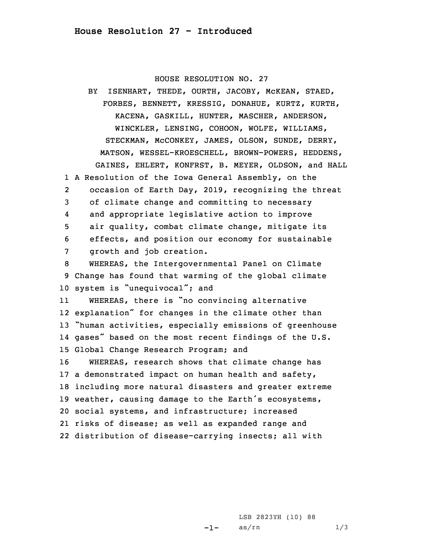HOUSE RESOLUTION NO. 27

BY ISENHART, THEDE, OURTH, JACOBY, McKEAN, STAED, FORBES, BENNETT, KRESSIG, DONAHUE, KURTZ, KURTH, KACENA, GASKILL, HUNTER, MASCHER, ANDERSON, WINCKLER, LENSING, COHOON, WOLFE, WILLIAMS, STECKMAN, McCONKEY, JAMES, OLSON, SUNDE, DERRY, MATSON, WESSEL-KROESCHELL, BROWN-POWERS, HEDDENS, GAINES, EHLERT, KONFRST, B. MEYER, OLDSON, and HALL 1 <sup>A</sup> Resolution of the Iowa General Assembly, on the 2 occasion of Earth Day, 2019, recognizing the threat 3 of climate change and committing to necessary 4 and appropriate legislative action to improve 5 air quality, combat climate change, mitigate its 6 effects, and position our economy for sustainable 7 growth and job creation. 8 WHEREAS, the Intergovernmental Panel on Climate 9 Change has found that warming of the global climate 10 system is "unequivocal"; and 11 WHEREAS, there is "no convincing alternative 12 explanation" for changes in the climate other than <sup>13</sup> "human activities, especially emissions of greenhouse 14 gases" based on the most recent findings of the U.S. 15 Global Change Research Program; and 16 WHEREAS, research shows that climate change has 17 <sup>a</sup> demonstrated impact on human health and safety, 18 including more natural disasters and greater extreme <sup>19</sup> weather, causing damage to the Earth's ecosystems, 20 social systems, and infrastructure; increased

21 risks of disease; as well as expanded range and

22 distribution of disease-carrying insects; all with

-1-

LSB 2823YH (10) 88  $as/rn$   $1/3$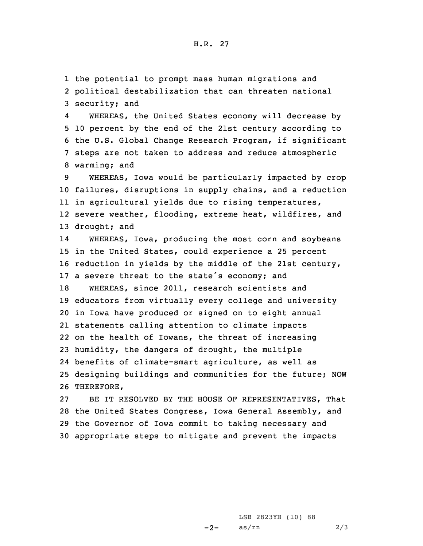1 the potential to prompt mass human migrations and

2 political destabilization that can threaten national 3 security; and

4 WHEREAS, the United States economy will decrease by 10 percent by the end of the 21st century according to the U.S. Global Change Research Program, if significant steps are not taken to address and reduce atmospheric warming; and

 WHEREAS, Iowa would be particularly impacted by crop failures, disruptions in supply chains, and <sup>a</sup> reduction in agricultural yields due to rising temperatures, severe weather, flooding, extreme heat, wildfires, and drought; and

14 WHEREAS, Iowa, producing the most corn and soybeans in the United States, could experience <sup>a</sup> 25 percent reduction in yields by the middle of the 21st century, <sup>a</sup> severe threat to the state's economy; and WHEREAS, since 2011, research scientists and educators from virtually every college and university in Iowa have produced or signed on to eight annual statements calling attention to climate impacts on the health of Iowans, the threat of increasing humidity, the dangers of drought, the multiple benefits of climate-smart agriculture, as well as designing buildings and communities for the future; NOW THEREFORE,

 BE IT RESOLVED BY THE HOUSE OF REPRESENTATIVES, That the United States Congress, Iowa General Assembly, and the Governor of Iowa commit to taking necessary and appropriate steps to mitigate and prevent the impacts

> $-2-$ LSB 2823YH (10) 88  $as/rn$  2/3